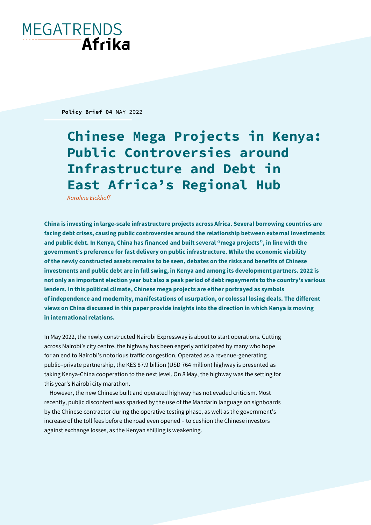# **MEGATRENDS** Afrika

**Policy Brief 04** MAY 2022

**Chinese Mega Projects in Kenya: Public Controversies around Infrastructure and Debt in East Africa's Regional Hub** 

*Karoline Eickhoff*

**China is investing in large-scale infrastructure projects across Africa. Several borrowing countries are facing debt crises, causing public controversies around the relationship between external investments and public debt. In Kenya, China has financed and built several "mega projects", in line with the government's preference for fast delivery on public infrastructure. While the economic viability of the newly constructed assets remains to be seen, debates on the risks and benefits of Chinese investments and public debt are in full swing, in Kenya and among its development partners. 2022 is not only an important election year but also a peak period of debt repayments to the country's various lenders. In this political climate, Chinese mega projects are either portrayed as symbols of independence and modernity, manifestations of usurpation, or colossal losing deals. The different views on China discussed in this paper provide insights into the direction in which Kenya is moving in international relations.** 

In May 2022, the newly constructed Nairobi Expressway is about to start operations. Cutting across Nairobi's city centre, the highway has been eagerly anticipated by many who hope for an end to Nairobi's notorious traffic congestion. Operated as a revenue-generating public–private partnership, the KES 87.9 billion (USD 764 million) highway is presented as taking Kenya-China cooperation to the next level. On 8 May, the highway was the setting for this year's Nairobi city marathon.

However, the new Chinese built and operated highway has not evaded criticism. Most recently, public discontent was sparked by the use of the Mandarin language on signboards by the Chinese contractor during the operative testing phase, as well as the government's increase of the toll fees before the road even opened – to cushion the Chinese investors against exchange losses, as the Kenyan shilling is weakening.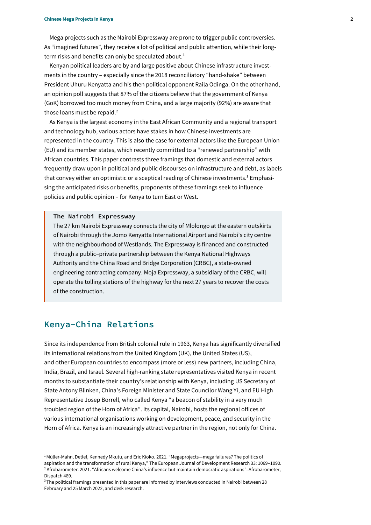Mega projects such as the Nairobi Expressway are prone to trigger public controversies. As "imagined futures", they receive a lot of political and public attention, while their longterm risks and benefits can only be speculated about.<sup>1</sup>

Kenyan political leaders are by and large positive about Chinese infrastructure investments in the country – especially since the 2018 reconciliatory "hand-shake" between President Uhuru Kenyatta and his then political opponent Raila Odinga. On the other hand, an opinion poll suggests that 87% of the citizens believe that the government of Kenya (GoK) borrowed too much money from China, and a large majority (92%) are aware that those loans must be repaid.<sup>2</sup>

As Kenya is the largest economy in the East African Community and a regional transport and technology hub, various actors have stakes in how Chinese investments are represented in the country. This is also the case for external actors like the European Union (EU) and its member states, which recently committed to a "renewed partnership" with African countries. This paper contrasts three framings that domestic and external actors frequently draw upon in political and public discourses on infrastructure and debt, as labels that convey either an optimistic or a sceptical reading of Chinese investments. <sup>3</sup> Emphasising the anticipated risks or benefits, proponents of these framings seek to influence policies and public opinion – for Kenya to turn East or West.

## **The Nairobi Expressway**

The 27 km Nairobi Expressway connects the city of Mlolongo at the eastern outskirts of Nairobi through the Jomo Kenyatta International Airport and Nairobi's city centre with the neighbourhood of Westlands. The Expressway is financed and constructed through a public–private partnership between the Kenya National Highways Authority and the China Road and Bridge Corporation (CRBC), a state-owned engineering contracting company. Moja Expressway, a subsidiary of the CRBC, will operate the tolling stations of the highway for the next 27 years to recover the costs of the construction.

# **Kenya-China Relations**

Since its independence from British colonial rule in 1963, Kenya has significantly diversified its international relations from the United Kingdom (UK), the United States (US), and other European countries to encompass (more or less) new partners, including China, India, Brazil, and Israel. Several high-ranking state representatives visited Kenya in recent months to substantiate their country's relationship with Kenya, including US Secretary of State Antony Blinken, China's Foreign Minister and State Councilor Wang Yi, and EU High Representative Josep Borrell, who called Kenya "a beacon of stability in a very much troubled region of the Horn of Africa". Its capital, Nairobi, hosts the regional offices of various international organisations working on development, peace, and security in the Horn of Africa. Kenya is an increasingly attractive partner in the region, not only for China.

<sup>&</sup>lt;sup>1</sup> Müller-Mahn, Detlef, Kennedy Mkutu, and Eric Kioko. 2021. "Megaprojects—mega failures? The politics of [aspiration and the transformation of rural Kenya](https://doi.org/10.1057/s41287-021-00397-x)," The European Journal of Development Research 33: 1069–1090. <sup>2</sup> Afrobarometer. 2021. ["Africans welcome China's influence but](https://afrobarometer.org/sites/default/files/publications/Dispatches/ad489-pap3-africans_welcome_chinas_influence_maintain_democratic_aspirations-afrobarometer_dispatch-15nov21.pdf.) maintain democratic aspirations". Afrobarometer, Dispatch 489.

<sup>&</sup>lt;sup>3</sup>The political framings presented in this paper are informed by interviews conducted in Nairobi between 28 February and 25 March 2022, and desk research.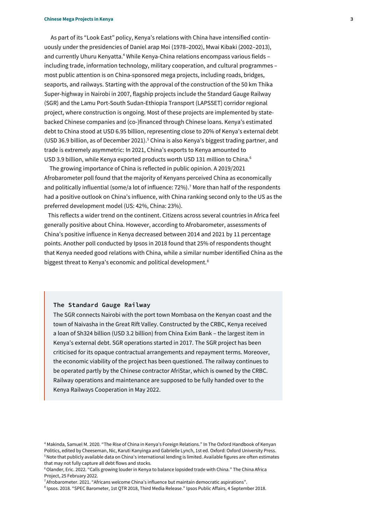As part of its "Look East" policy, Kenya's relations with China have intensified continuously under the presidencies of Daniel arap Moi (1978–2002), Mwai Kibaki (2002–2013), and currently Uhuru Kenyatta.<sup>4</sup> While Kenya-China relations encompass various fields including trade, information technology, military cooperation, and cultural programmes – most public attention is on China-sponsored mega projects, including roads, bridges, seaports, and railways. Starting with the approval of the construction of the 50 km Thika Super-highway in Nairobi in 2007, flagship projects include the Standard Gauge Railway (SGR) and the Lamu Port-South Sudan-Ethiopia Transport (LAPSSET) corridor regional project, where construction is ongoing. Most of these projects are implemented by statebacked Chinese companies and (co-)financed through Chinese loans. Kenya's estimated debt to China stood at USD 6.95 billion, representing close to 20% of Kenya's external debt (USD 36.9 billion, as of December 2021).<sup>5</sup> China is also Kenya's biggest trading partner, and trade is extremely asymmetric: In 2021, China's exports to Kenya amounted to USD 3.9 billion, while Kenya exported products worth USD 131 million to China.<sup>6</sup>

The growing importance of China is reflected in public opinion. A 2019/2021 Afrobarometer poll found that the majority of Kenyans perceived China as economically and politically influential (some/a lot of influence: 72%).<sup>7</sup> More than half of the respondents had a positive outlook on China's influence, with China ranking second only to the US as the preferred development model (US: 42%, China: 23%).

 This reflects a wider trend on the continent. Citizens across several countries in Africa feel generally positive about China. However, according to Afrobarometer, assessments of China's positive influence in Kenya decreased between 2014 and 2021 by 11 percentage points. Another poll conducted by Ipsos in 2018 found that 25% of respondents thought that Kenya needed good relations with China, while a similar number identified China as the biggest threat to Kenya's economic and political development.<sup>8</sup>

### **The Standard Gauge Railway**

The SGR connects Nairobi with the port town Mombasa on the Kenyan coast and the town of Naivasha in the Great Rift Valley. Constructed by the CRBC, Kenya received a loan of Sh324 billion (USD 3.2 billion) from China Exim Bank – the largest item in Kenya's external debt. SGR operations started in 2017. The SGR project has been criticised for its opaque contractual arrangements and repayment terms. Moreover, the economic viability of the project has been questioned. The railway continues to be operated partly by the Chinese contractor AfriStar, which is owned by the CRBC. Railway operations and maintenance are supposed to be fully handed over to the Kenya Railways Cooperation in May 2022.

<sup>4</sup> Makinda, Samuel M. 2020. "The Rise of Chi[na in Kenya's Foreign Relations.](https://www.oxfordhandbooks.com/view/10.1093/oxfordhb/9780198815693.001.0001/oxfordhb-9780198815693-e-42)" In The Oxford Handbook of Kenyan Politics, edited by Cheeseman, Nic, Karuti Kanyinga and Gabrielle Lynch, 1st ed. Oxford: Oxford University Press. <sup>5</sup>Note that publicly available data on China's international lending is limited. Available figures are often estimates that may not fully capture all debt flows and stocks.

<sup>6</sup>Olander, Eric. 2022. "[Calls growing louder in Kenya to balance lopsided trade with China](https://chinaafricaproject.com/2022/02/25/calls-growing-louder-in-kenya-to-balance-lopsided-trade-with-china/)." The China Africa Project, 25 February 2022.

<sup>7</sup>Afrobarometer. 2021. ["Africans welcome China's influence but maintain democratic aspirations"](https://afrobarometer.org/sites/default/files/publications/Dispatches/ad489-pap3-africans_welcome_chinas_influence_maintain_democratic_aspirations-afrobarometer_dispatch-15nov21.pdf.).

<sup>8</sup> Ipsos. 2018. "SPEC Barometer, 1st QTR 2018, Third Media Release." Ipsos Public Affairs, 4 September 2018.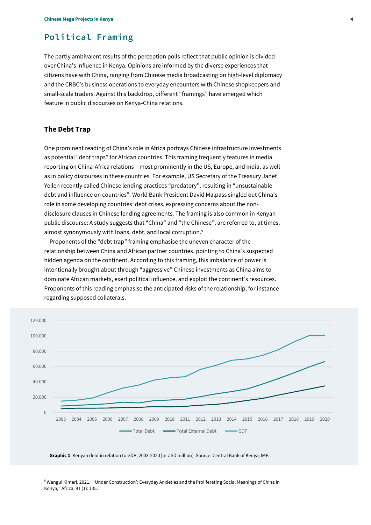# **Political Framing**

The partly ambivalent results of the perception polls reflect that public opinion is divided over China's influence in Kenya. Opinions are informed by the diverse experiences that citizens have with China, ranging from Chinese media broadcasting on high-level diplomacy and the CRBC's business operations to everyday encounters with Chinese shopkeepers and small-scale traders. Against this backdrop, different "framings" have emerged which feature in public discourses on Kenya-China relations.

## **The Debt Trap**

One prominent reading of China's role in Africa portrays Chinese infrastructure investments as potential "debt traps" for African countries. This framing frequently features in media reporting on China-Africa relations – most prominently in the US, Europe, and India, as well as in policy discourses in these countries. For example, US Secretary of the Treasury Janet Yellen recently called Chinese lending practices "predatory", resulting in "unsustainable debt and influence on countries". World Bank President David Malpass singled out China's role in some developing countries' debt crises, expressing concerns about the nondisclosure clauses in Chinese lending agreements. The framing is also common in Kenyan public discourse: A study suggests that "China" and "the Chinese", are referred to, at times, almost synonymously with loans, debt, and local corruption.<sup>9</sup>

Proponents of the "debt trap" framing emphasise the uneven character of the relationship between China and African partner countries, pointing to China's suspected hidden agenda on the continent. According to this framing, this imbalance of power is intentionally brought about through "aggressive" Chinese investments as China aims to dominate African markets, exert political influence, and exploit the continent's resources. Proponents of this reading emphasise the anticipated risks of the relationship, for instance regarding supposed collaterals.



**Graphic 1**: Kenyan debt in relation to GDP, 2003-2020 [in USD million]. Source: Central Bank of Kenya, IMF.

<sup>9</sup> Wangui Kimari. 2021. ["'Under Construction': Everyday Anxieties and the Proliferatin](https://www.cambridge.org/core/journals/africa/article/under-construction-everyday-anxieties-and-the-proliferating-social-meanings-of-china-in-kenya/CB8190471AB8D301052B1311ACD2A04D)g Social Meanings of China in [Kenya](https://www.cambridge.org/core/journals/africa/article/under-construction-everyday-anxieties-and-the-proliferating-social-meanings-of-china-in-kenya/CB8190471AB8D301052B1311ACD2A04D)," Africa, 91 (1): 135.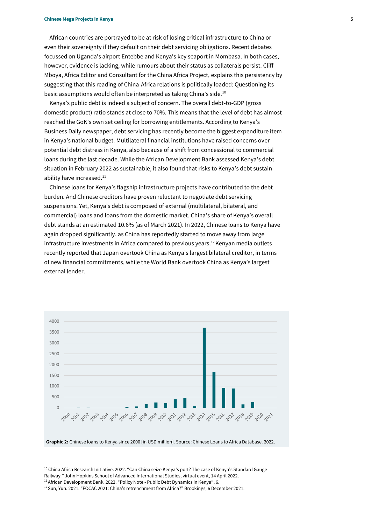African countries are portrayed to be at risk of losing critical infrastructure to China or even their sovereignty if they default on their debt servicing obligations. Recent debates focussed on Uganda's airport Entebbe and Kenya's key seaport in Mombasa. In both cases, however, evidence is lacking, while rumours about their status as collaterals persist. Cliff Mboya, Africa Editor and Consultant for the China Africa Project, explains this persistency by suggesting that this reading of China-Africa relations is politically loaded: Questioning its basic assumptions would often be interpreted as taking China's side.<sup>10</sup>

Kenya's public debt is indeed a subject of concern. The overall debt-to-GDP (gross domestic product) ratio stands at close to 70%. This means that the level of debt has almost reached the GoK's own set ceiling for borrowing entitlements. According to Kenya's Business Daily newspaper, debt servicing has recently become the biggest expenditure item in Kenya's national budget. Multilateral financial institutions have raised concerns over potential debt distress in Kenya, also because of a shift from concessional to commercial loans during the last decade. While the African Development Bank assessed Kenya's debt situation in February 2022 as sustainable, it also found that risks to Kenya's debt sustainability have increased.<sup>11</sup>

Chinese loans for Kenya's flagship infrastructure projects have contributed to the debt burden. And Chinese creditors have proven reluctant to negotiate debt servicing suspensions. Yet, Kenya's debt is composed of external (multilateral, bilateral, and commercial) loans and loans from the domestic market. China's share of Kenya's overall debt stands at an estimated 10.6% (as of March 2021). In 2022, Chinese loans to Kenya have again dropped significantly, as China has reportedly started to move away from large infrastructure investments in Africa compared to previous years.<sup>12</sup> Kenyan media outlets recently reported that Japan overtook China as Kenya's largest bilateral creditor, in terms of new financial commitments, while the World Bank overtook China as Kenya's largest external lender.



 $10$  China Africa Research Initiative. 2022. "Can China seize Kenya's port? The case of Kenya's Standard Gauge Railway." John Hopkins School of Advanced International Studies, virtual event, 14 April 2022.

<sup>11</sup> African Development Bank. 2022. "Policy Note - [Public Debt Dynamics in Kenya](https://www.afdb.org/en/documents/policy-note-public-debt-dynamics-kenya)", 6.

<sup>12</sup> Sun, Yun. 2021. ["FOCAC 2021: China's retrenchment from Africa?"](https://www.brookings.edu/blog/africa-in-focus/2021/12/06/focac-2021-chinas-retrenchment-from-africa) Brookings, 6 December 2021.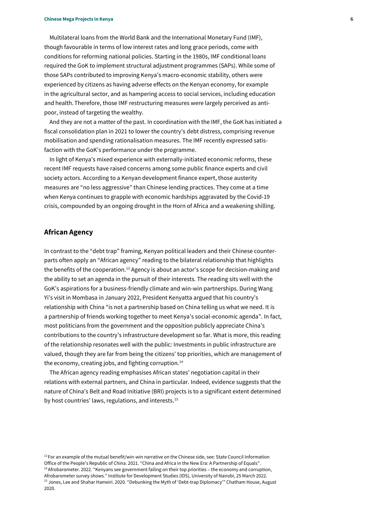Multilateral loans from the World Bank and the International Monetary Fund (IMF), though favourable in terms of low interest rates and long grace periods, come with conditions for reforming national policies. Starting in the 1980s, IMF conditional loans required the GoK to implement structural adjustment programmes (SAPs). While some of those SAPs contributed to improving Kenya's macro-economic stability, others were experienced by citizens as having adverse effects on the Kenyan economy, for example in the agricultural sector, and as hampering access to social services, including education and health.Therefore, those IMF restructuring measures were largely perceived as antipoor, instead of targeting the wealthy.

And they are not a matter of the past. In coordination with the IMF, the GoK has initiated a fiscal consolidation plan in 2021 to lower the country's debt distress, comprising revenue mobilisation and spending rationalisation measures. The IMF recently expressed satisfaction with the GoK's performance under the programme.

In light of Kenya's mixed experience with externally-initiated economic reforms, these recent IMF requests have raised concerns among some public finance experts and civil society actors. According to a Kenyan development finance expert, those austerity measures are "no less aggressive" than Chinese lending practices. They come at a time when Kenya continues to grapple with economic hardships aggravated by the Covid-19 crisis, compounded by an ongoing drought in the Horn of Africa and a weakening shilling.

# **African Agency**

In contrast to the "debt trap" framing, Kenyan political leaders and their Chinese counterparts often apply an "African agency" reading to the bilateral relationship that highlights the benefits of the cooperation.<sup>13</sup> Agency is about an actor's scope for decision-making and the ability to set an agenda in the pursuit of their interests. The reading sits well with the GoK's aspirations for a business-friendly climate and win-win partnerships. During Wang Yi's visit in Mombasa in January 2022, President Kenyatta argued that his country's relationship with China "is not a partnership based on China telling us what we need. It is a partnership of friends working together to meet Kenya's social-economic agenda". In fact, most politicians from the government and the opposition publicly appreciate China's contributions to the country's infrastructure development so far. What is more, this reading of the relationship resonates well with the public: Investments in public infrastructure are valued, though they are far from being the citizens' top priorities, which are management of the economy, creating jobs, and fighting corruption.<sup>14</sup>

The African agency reading emphasises African states' negotiation capital in their relations with external partners, and China in particular. Indeed, evidence suggests that the nature of China's Belt and Road Initiative (BRI) projects is to a significant extent determined by host countries' laws, regulations, and interests.<sup>15</sup>

 $<sup>13</sup>$  For an example of the mutual benefit/win-win narrative on the Chinese side, see: State Council Information</sup> Office of the People's Republic of China. 2021. "[China and Africa in the New Era: A Partnership of Equals](https://www.fmprc.gov.cn/mfa_eng/wjdt_665385/2649_665393/202111/t20211126_10453904.html)".  $14$ Afrobarometer. 2022. "[Kenyans see government failing on their top priorities](https://www.afrobarometer.org/articles/kenyans-see-government-failing-on-their-top-priorities-the-economy-and-corruption-afrobarometer-survey-shows) – the economy and corruption, [Afrobarometer survey shows](https://www.afrobarometer.org/articles/kenyans-see-government-failing-on-their-top-priorities-the-economy-and-corruption-afrobarometer-survey-shows)." Institute for Development Studies (IDS), University of Nairobi, 25 March 2022. <sup>15</sup> Jones, Lee and Shahar Hameiri. 2020. ["Debunking the Myth of 'Debt](https://www.chathamhouse.org/sites/default/files/2020-08-25-debunking-myth-debt-trap-diplomacy-jones-hameiri.pdf)-trap Diplomacy'" Chatham House, August 2020.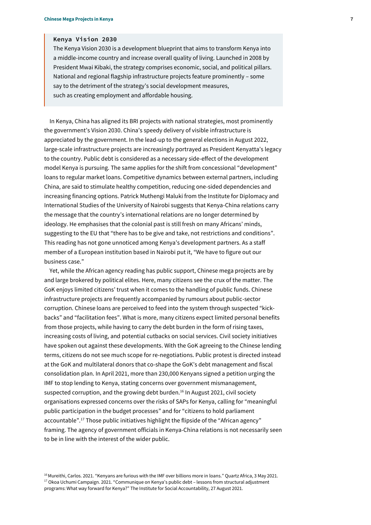## **Kenya Vision 2030**

The Kenya Vision 2030 is a development blueprint that aims to transform Kenya into a middle-income country and increase overall quality of living. Launched in 2008 by President Mwai Kibaki, the strategy comprises economic, social, and political pillars. National and regional flagship infrastructure projects feature prominently – some say to the detriment of the strategy's social development measures, such as creating employment and affordable housing.

In Kenya, China has aligned its BRI projects with national strategies, most prominently the government's Vision 2030. China's speedy delivery of visible infrastructure is appreciated by the government. In the lead-up to the general elections in August 2022, large-scale infrastructure projects are increasingly portrayed as President Kenyatta's legacy to the country. Public debt is considered as a necessary side-effect of the development model Kenya is pursuing. The same applies for the shift from concessional "development" loans to regular market loans. Competitive dynamics between external partners, including China, are said to stimulate healthy competition, reducing one-sided dependencies and increasing financing options. Patrick Muthengi Maluki from the Institute for Diplomacy and International Studies of the University of Nairobi suggests that Kenya-China relations carry the message that the country's international relations are no longer determined by ideology. He emphasises that the colonial past is still fresh on many Africans' minds, suggesting to the EU that "there has to be give and take, not restrictions and conditions". This reading has not gone unnoticed among Kenya's development partners. As a staff member of a European institution based in Nairobi put it, "We have to figure out our business case."

Yet, while the African agency reading has public support, Chinese mega projects are by and large brokered by political elites. Here, many citizens see the crux of the matter. The GoK enjoys limited citizens' trust when it comes to the handling of public funds. Chinese infrastructure projects are frequently accompanied by rumours about public-sector corruption. Chinese loans are perceived to feed into the system through suspected "kickbacks" and "facilitation fees". What is more, many citizens expect limited personal benefits from those projects, while having to carry the debt burden in the form of rising taxes, increasing costs of living, and potential cutbacks on social services. Civil society initiatives have spoken out against these developments. With the GoK agreeing to the Chinese lending terms, citizens do not see much scope for re-negotiations. Public protest is directed instead at the GoK and multilateral donors that co-shape the GoK's debt management and fiscal consolidation plan. In April 2021, more than 230,000 Kenyans signed a petition urging the IMF to stop lending to Kenya, stating concerns over government mismanagement, suspected corruption, and the growing debt burden.<sup>16</sup> In August 2021, civil society organisations expressed concerns over the risks of SAPs for Kenya, calling for "meaningful public participation in the budget processes" and for "citizens to hold parliament accountable". <sup>17</sup> Those public initiatives highlight the flipside of the "African agency" framing. The agency of government officials in Kenya-China relations is not necessarily seen to be in line with the interest of the wider public.

<sup>16</sup> Mureithi, Carlos. 2021. "[Kenyans are furious with the IMF over billions more in](https://qz.com/africa/2001988/why-kenyans-are-refusing-the-imfs-billions) loans." Quartz Africa, 3 May 2021. <sup>17</sup> Okoa Uchumi Campaign. 2021. "Communique on Kenya's public debt - lessons from structural adjustment [programs: What way forward for Kenya](https://resources.tisa.co.ke/2021/08/27/communique-on-kenyas-public-debt-lessons-from-structural-adjustment-programs-what-way-forward-for-kenya/)?" The Institute for Social Accountability, 27 August 2021.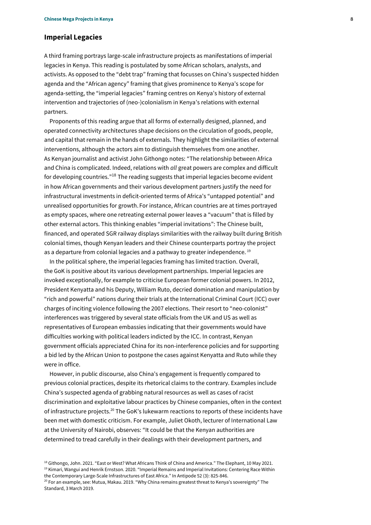# **Imperial Legacies**

A third framing portrays large-scale infrastructure projects as manifestations of imperial legacies in Kenya. This reading is postulated by some African scholars, analysts, and activists. As opposed to the "debt trap" framing that focusses on China's suspected hidden agenda and the "African agency" framing that gives prominence to Kenya's scope for agenda-setting, the "imperial legacies" framing centres on Kenya's history of external intervention and trajectories of (neo-)colonialism in Kenya's relations with external partners.

Proponents of this reading argue that all forms of externally designed, planned, and operated connectivity architectures shape decisions on the circulation of goods, people, and capital that remain in the hands of externals. They highlight the similarities of external interventions, although the actors aim to distinguish themselves from one another. As Kenyan journalist and activist John Githongo notes: "The relationship between Africa and China is complicated. Indeed, relations with *all* great powers are complex and difficult for developing countries."<sup>18</sup> The reading suggests that imperial legacies become evident in how African governments and their various development partners justify the need for infrastructural investments in deficit-oriented terms of Africa's "untapped potential" and unrealised opportunities for growth. For instance, African countries are at times portrayed as empty spaces, where one retreating external power leaves a "vacuum" that is filled by other external actors. This thinking enables "imperial invitations": The Chinese built, financed, and operated SGR railway displays similarities with the railway built during British colonial times, though Kenyan leaders and their Chinese counterparts portray the project as a departure from colonial legacies and a pathway to greater independence.<sup>19</sup>

In the political sphere, the imperial legacies framing has limited traction. Overall, the GoK is positive about its various development partnerships. Imperial legacies are invoked exceptionally, for example to criticise European former colonial powers. In 2012, President Kenyatta and his Deputy, William Ruto, decried domination and manipulation by "rich and powerful" nations during their trials at the International Criminal Court (ICC) over charges of inciting violence following the 2007 elections. Their resort to "neo-colonist" interferences was triggered by several state officials from the UK and US as well as representatives of European embassies indicating that their governments would have difficulties working with political leaders indicted by the ICC. In contrast, Kenyan government officials appreciated China for its non-interference policies and for supporting a bid led by the African Union to postpone the cases against Kenyatta and Ruto while they were in office.

However, in public discourse, also China's engagement is frequently compared to previous colonial practices, despite its rhetorical claims to the contrary. Examples include China's suspected agenda of grabbing natural resources as well as cases of racist discrimination and exploitative labour practices by Chinese companies, often in the context of infrastructure projects.<sup>20</sup> The GoK's lukewarm reactions to reports of these incidents have been met with domestic criticism. For example, Juliet Okoth, lecturer of International Law at the University of Nairobi, observes: "It could be that the Kenyan authorities are determined to tread carefully in their dealings with their development partners, and

<sup>18</sup> Githongo, John. 2021. "[East or West? What Africans Think of China and America](https://www.theelephant.info/features/2021/05/10/what-africans-think-of-china-and-america)." The Elephant, 10 May 2021. <sup>19</sup> Kimari, Wangui and Henrik Ernstson. 2020. "Imperial Remains and Imperial Invitations: Centering Race Within [the Contemporary Large‐Scale Infrastructures of East Africa](https://doi.org/10.1111/anti.12623)." In Antipode 52 (3): 825-846.

<sup>20</sup> For an example, see: Mutua, Makau. 2019. "W[hy China remains greatest threat to Kenya's sovereignty"](https://www.standardmedia.co.ke/makau-mutua/article/2001315039/why-china-remains-greatest-threat-to-kenyas-sovereignty) The Standard, 3 March 2019.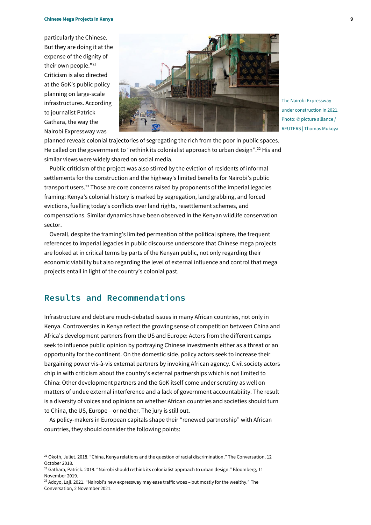particularly the Chinese. But they are doing it at the expense of the dignity of their own people." 21 Criticism is also directed at the GoK's public policy planning on large-scale infrastructures. According to journalist Patrick Gathara, the way the Nairobi Expressway was



The Nairobi Expressway under construction in 2021. Photo: © picture alliance / REUTERS | Thomas Mukoya

planned reveals colonial trajectories of segregating the rich from the poor in public spaces. He called on the government to "rethink its colonialist approach to urban design".<sup>22</sup> His and similar views were widely shared on social media.

Public criticism of the project was also stirred by the eviction of residents of informal settlements for the construction and the highway's limited benefits for Nairobi's public transport users.<sup>23</sup> Those are core concerns raised by proponents of the imperial legacies framing: Kenya's colonial history is marked by segregation, land grabbing, and forced evictions, fuelling today's conflicts over land rights, resettlement schemes, and compensations. Similar dynamics have been observed in the Kenyan wildlife conservation sector.

Overall, despite the framing's limited permeation of the political sphere, the frequent references to imperial legacies in public discourse underscore that Chinese mega projects are looked at in critical terms by parts of the Kenyan public, not only regarding their economic viability but also regarding the level of external influence and control that mega projects entail in light of the country's colonial past.

# **Results and Recommendations**

Infrastructure and debt are much-debated issues in many African countries, not only in Kenya. Controversies in Kenya reflect the growing sense of competition between China and Africa's development partners from the US and Europe: Actors from the different camps seek to influence public opinion by portraying Chinese investments either as a threat or an opportunity for the continent. On the domestic side, policy actors seek to increase their bargaining power vis-à-vis external partners by invoking African agency. Civil society actors chip in with criticism about the country's external partnerships which is not limited to China: Other development partners and the GoK itself come under scrutiny as well on matters of undue external interference and a lack of government accountability. The result is a diversity of voices and opinions on whether African countries and societies should turn to China, the US, Europe – or neither. The jury is still out.

As policy-makers in European capitals shape their "renewed partnership" with African countries, they should consider the following points:

 $21$  Okoth, Juliet. 2018. "[China, Kenya relations and the question of racial discrimination](https://theconversation.com/china-kenya-relations-and-the-question-of-racial-discrimination-104426)." The Conversation, 12 October 2018.

 $^{22}$  Gathara, Patrick. 2019. "[Nairobi should rethink its colonialist approach to urban design](https://www.bloomberg.com/news/articles/2019-11-11/why-a-new-expressway-in-nairobi-is-a-bad-idea)." Bloomberg, 11 November 2019.

<sup>&</sup>lt;sup>23</sup> Adoyo, Laji. 2021. "Nairobi's new expressway may ease traffic woes - but mostly for the wealthy." The Conversation, 2 November 2021.